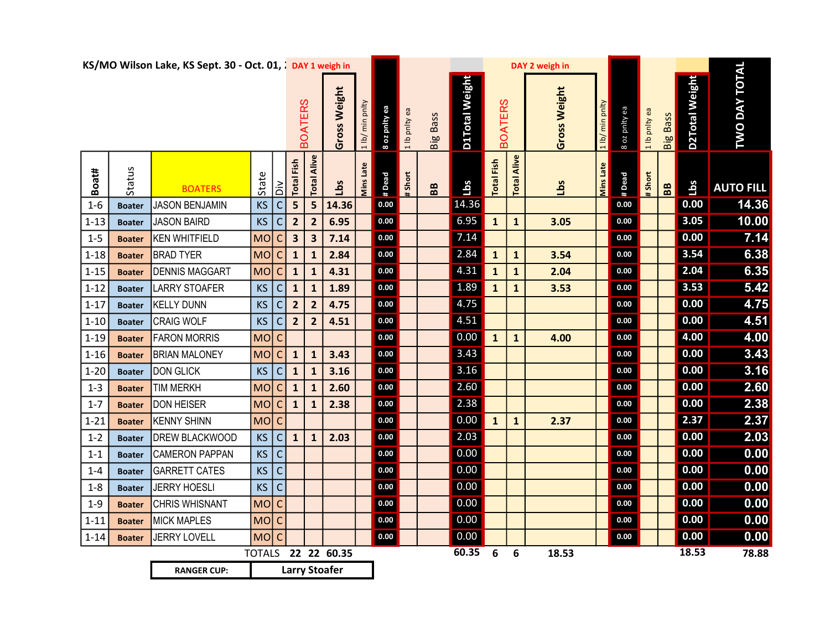|          |               | KS/MO Wilson Lake, KS Sept. 30 - Oct. 01, ¿ DAY 1 weigh in |           |                | <b>BOATERS</b>          |                         | Gross Weight         | 1 lb/ min pnlty | 8 oz pnity ea | 1 lb pnlty ea | Big Bass          | D1Total Weight | <b>BOATERS</b>    |                    | DAY 2 weigh in<br>Gross Weight | 1 lb/ min pnlty  | 8 oz pnity ea | 1 lb pnlty ea | <b>Big Bass</b>   | D2Total Weight | <b>TWO DAY TOTAL</b> |
|----------|---------------|------------------------------------------------------------|-----------|----------------|-------------------------|-------------------------|----------------------|-----------------|---------------|---------------|-------------------|----------------|-------------------|--------------------|--------------------------------|------------------|---------------|---------------|-------------------|----------------|----------------------|
| Boat#    | Status        | <b>BOATERS</b>                                             | State     | ăά             | <b>Total Fish</b>       | Alive<br>Total          | Lbs                  | Mins Late       | # Dead        | # Short       | ${\bf B} {\bf B}$ | <b>Lbs</b>     | <b>Total Fish</b> | <b>Total Alive</b> | <u>ig</u>                      | <b>Mins Late</b> | # Dead        | $#$ Short     | ${\bf B} {\bf B}$ | Lbs            | <b>AUTO FILL</b>     |
| $1 - 6$  | <b>Boater</b> | <b>JASON BENJAMIN</b>                                      | <b>KS</b> | C              | 5                       | 5                       | 14.36                |                 | 0.00          |               |                   | 14.36          |                   |                    |                                |                  | 0.00          |               |                   | 0.00           | 14.36                |
| $1 - 13$ | <b>Boater</b> | JASON BAIRD                                                | KS        | C              | $\overline{\mathbf{2}}$ | $\overline{2}$          | 6.95                 |                 | $0.00\,$      |               |                   | 6.95           | $\mathbf{1}$      | $\mathbf{1}$       | 3.05                           |                  | 0.00          |               |                   | 3.05           | 10.00                |
| $1 - 5$  | <b>Boater</b> | KEN WHITFIELD                                              | <b>MO</b> | C              | $\overline{\mathbf{3}}$ | $\overline{\mathbf{3}}$ | 7.14                 |                 | 0.00          |               |                   | 7.14           |                   |                    |                                |                  | $0.00\,$      |               |                   | 0.00           | 7.14                 |
| $1 - 18$ | <b>Boater</b> | <b>BRAD TYER</b>                                           | MO        | $\mathsf{C}$   | $\mathbf{1}$            | $\mathbf 1$             | 2.84                 |                 | $0.00\,$      |               |                   | 2.84           | $\mathbf{1}$      | $\mathbf{1}$       | 3.54                           |                  | 0.00          |               |                   | 3.54           | 6.38                 |
| $1 - 15$ | <b>Boater</b> | <b>DENNIS MAGGART</b>                                      | MO        | $\mathsf{C}$   | $\mathbf{1}$            | $\mathbf{1}$            | 4.31                 |                 | 0.00          |               |                   | 4.31           | $\mathbf{1}$      | $\mathbf{1}$       | 2.04                           |                  | 0.00          |               |                   | 2.04           | 6.35                 |
| $1 - 12$ | <b>Boater</b> | <b>LARRY STOAFER</b>                                       | KS        | $\mathsf{C}$   | $\mathbf{1}$            | $\mathbf{1}$            | 1.89                 |                 | 0.00          |               |                   | 1.89           | $\mathbf{1}$      | $\mathbf{1}$       | 3.53                           |                  | 0.00          |               |                   | 3.53           | 5.42                 |
| $1 - 17$ | <b>Boater</b> | KELLY DUNN                                                 | KS        | $\mathsf{C}$   | $\overline{\mathbf{c}}$ | $\overline{2}$          | 4.75                 |                 | $0.00\,$      |               |                   | 4.75           |                   |                    |                                |                  | 0.00          |               |                   | 0.00           | 4.75                 |
| $1 - 10$ | <b>Boater</b> | <b>CRAIG WOLF</b>                                          | KS        | C              | $\overline{\mathbf{2}}$ | $\overline{2}$          | 4.51                 |                 | 0.00          |               |                   | 4.51           |                   |                    |                                |                  | 0.00          |               |                   | 0.00           | 4.51                 |
| $1 - 19$ | <b>Boater</b> | <b>FARON MORRIS</b>                                        | MO        | $\mathsf{C}$   |                         |                         |                      |                 | 0.00          |               |                   | 0.00           | $\mathbf{1}$      | $\mathbf{1}$       | 4.00                           |                  | $0.00\,$      |               |                   | 4.00           | 4.00                 |
| $1 - 16$ | <b>Boater</b> | <b>BRIAN MALONEY</b>                                       | MO        | $\overline{C}$ | $\mathbf{1}$            | $\mathbf{1}$            | 3.43                 |                 | 0.00          |               |                   | 3.43           |                   |                    |                                |                  | 0.00          |               |                   | 0.00           | 3.43                 |
| $1 - 20$ | <b>Boater</b> | <b>DON GLICK</b>                                           | KS        | $\mathsf{C}$   | $\mathbf{1}$            | $\mathbf{1}$            | 3.16                 |                 | 0.00          |               |                   | 3.16           |                   |                    |                                |                  | 0.00          |               |                   | 0.00           | 3.16                 |
| $1 - 3$  | <b>Boater</b> | <b>TIM MERKH</b>                                           | <b>MO</b> | C              | $\mathbf{1}$            | $\mathbf{1}$            | 2.60                 |                 | $0.00\,$      |               |                   | 2.60           |                   |                    |                                |                  | $0.00\,$      |               |                   | 0.00           | 2.60                 |
| $1 - 7$  | <b>Boater</b> | <b>DON HEISER</b>                                          | MO        | $\mathsf{C}$   | $\mathbf{1}$            | $\mathbf{1}$            | 2.38                 |                 | 0.00          |               |                   | 2.38           |                   |                    |                                |                  | 0.00          |               |                   | 0.00           | 2.38                 |
| $1 - 21$ | <b>Boater</b> | KENNY SHINN                                                | MolC      |                |                         |                         |                      |                 | 0.00          |               |                   | 0.00           | $\mathbf{1}$      | $\mathbf{1}$       | 2.37                           |                  | $0.00\,$      |               |                   | 2.37           | 2.37                 |
| $1 - 2$  | <b>Boater</b> | DREW BLACKWOOD                                             | KS        | $\overline{C}$ | $\mathbf{1}$            | $\mathbf{1}$            | 2.03                 |                 | 0.00          |               |                   | 2.03           |                   |                    |                                |                  | 0.00          |               |                   | 0.00           | 2.03                 |
| $1 - 1$  | <b>Boater</b> | <b>CAMERON PAPPAN</b>                                      | KS        | $\mathsf{C}$   |                         |                         |                      |                 | 0.00          |               |                   | 0.00           |                   |                    |                                |                  | 0.00          |               |                   | 0.00           | 0.00                 |
| $1 - 4$  | <b>Boater</b> | <b>GARRETT CATES</b>                                       | KS        | $\mathsf{C}$   |                         |                         |                      |                 | 0.00          |               |                   | 0.00           |                   |                    |                                |                  | $0.00\,$      |               |                   | 0.00           | 0.00                 |
| $1 - 8$  | <b>Boater</b> | <b>JERRY HOESLI</b>                                        | KS        | $\mathsf C$    |                         |                         |                      |                 | 0.00          |               |                   | 0.00           |                   |                    |                                |                  | 0.00          |               |                   | 0.00           | 0.00                 |
| $1 - 9$  | <b>Boater</b> | <b>CHRIS WHISNANT</b>                                      | MOC       |                |                         |                         |                      |                 | 0.00          |               |                   | 0.00           |                   |                    |                                |                  | 0.00          |               |                   | 0.00           | 0.00                 |
| $1 - 11$ | <b>Boater</b> | <b>MICK MAPLES</b>                                         | MOC       |                |                         |                         |                      |                 | 0.00          |               |                   | 0.00           |                   |                    |                                |                  | 0.00          |               |                   | 0.00           | 0.00                 |
| $1 - 14$ | <b>Boater</b> | JERRY LOVELL                                               | MO C      |                |                         |                         |                      |                 | 0.00          |               |                   | 0.00           |                   |                    |                                |                  | 0.00          |               |                   | 0.00           | 0.00                 |
|          |               |                                                            |           |                |                         |                         | TOTALS 22 22 60.35   |                 |               |               |                   | 60.35          | 6                 | 6                  | 18.53                          |                  |               |               |                   | 18.53          | 78.88                |
|          |               | <b>RANGER CUP:</b>                                         |           |                |                         |                         | <b>Larry Stoafer</b> |                 |               |               |                   |                |                   |                    |                                |                  |               |               |                   |                |                      |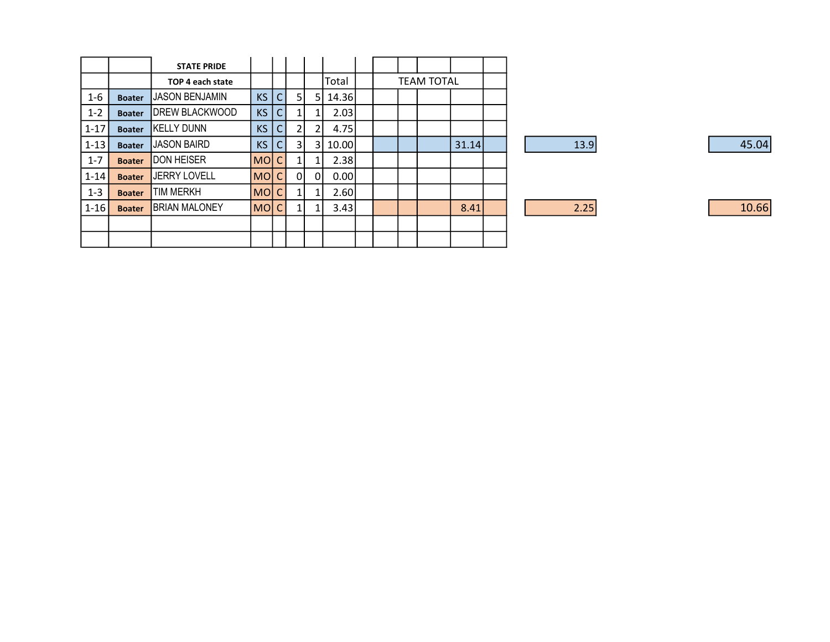|            |               | <b>STATE PRIDE</b>     |           |    |    |    |       |  |                   |       |  |
|------------|---------------|------------------------|-----------|----|----|----|-------|--|-------------------|-------|--|
|            |               | TOP 4 each state       |           |    |    |    | Total |  | <b>TEAM TOTAL</b> |       |  |
| $1 - 6$    | <b>Boater</b> | <b>JJASON BENJAMIN</b> | <b>KS</b> | C. | 5. | 5  | 14.36 |  |                   |       |  |
| $1 - 2$    | <b>Boater</b> | <b>IDREW BLACKWOOD</b> | <b>KS</b> | CI |    |    | 2.03  |  |                   |       |  |
| $1-17$     | <b>Boater</b> | <b>KELLY DUNN</b>      | <b>KS</b> | C. | 2  | 2  | 4.75  |  |                   |       |  |
| $ 1-13 $   | <b>Boater</b> | <b>JASON BAIRD</b>     | <b>KS</b> |    | 3  | 31 | 10.00 |  |                   | 31.14 |  |
| $1 - 7$    | <b>Boater</b> | <b>DON HEISER</b>      | MO C      |    |    |    | 2.38  |  |                   |       |  |
| $ 1-14 $   | <b>Boater</b> | <b>JERRY LOVELL</b>    | MO C      |    | οı | 01 | 0.001 |  |                   |       |  |
| $1 - 3$    | <b>Boater</b> | TIM MERKH              | MO C      |    |    |    | 2.60  |  |                   |       |  |
| $ 1 - 16 $ | <b>Boater</b> | <b>BRIAN MALONEY</b>   | MO C      |    |    |    | 3.43  |  |                   | 8.41  |  |
|            |               |                        |           |    |    |    |       |  |                   |       |  |
|            |               |                        |           |    |    |    |       |  |                   |       |  |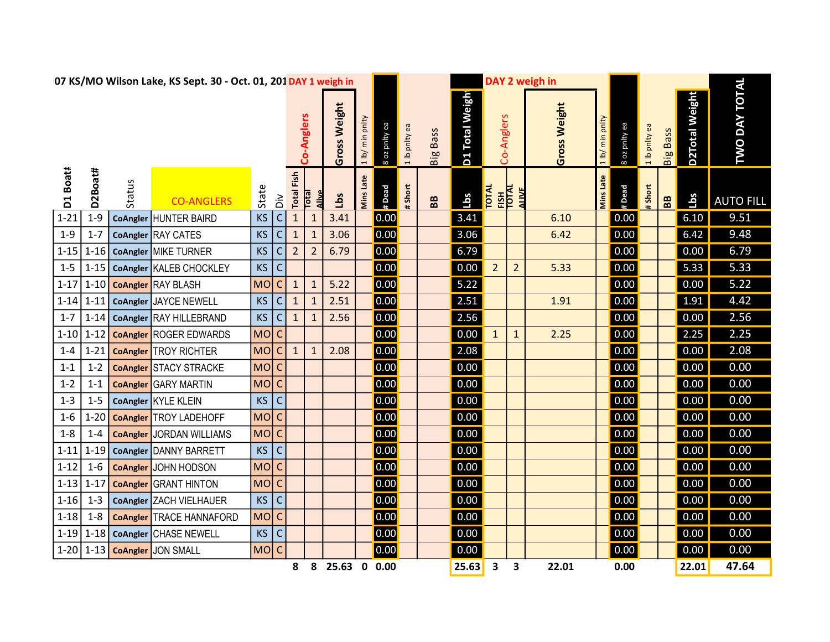| 07 KS/MO Wilson Lake, KS Sept. 30 - Oct. 01, 201 DAY 1 weigh in |             |        |                                 |           |                  |                   |                |                 |                  |               |               |                   |                 |                              |                | DAY 2 weigh in      |                  |               |               |                 |                       |                      |  |
|-----------------------------------------------------------------|-------------|--------|---------------------------------|-----------|------------------|-------------------|----------------|-----------------|------------------|---------------|---------------|-------------------|-----------------|------------------------------|----------------|---------------------|------------------|---------------|---------------|-----------------|-----------------------|----------------------|--|
|                                                                 |             |        |                                 |           |                  |                   | Co-Anglers     | Weight<br>Gross | 1 lb/ min pnlty  | 8 oz pnity ea | 1 lb pnlty ea | Big Bass          | D1 Total Weight | Co-Anglers                   |                | <b>Gross Weight</b> | 1 lb/ min pnlty  | ea Ajlud zo 8 | 1 lb pnlty ea | <b>Big Bass</b> | <b>D2Total Weight</b> | <b>TWO DAY TOTAL</b> |  |
| D1 Boatt                                                        | D2Boat#     | Status | <b>CO-ANGLERS</b>               | State     | $\sum_{i=1}^{n}$ | <b>Total Fish</b> | Total          | Lbs             | <b>Mins Late</b> | # Dead        | #Short        | ${\bf B} {\bf B}$ | <b>Lbs</b>      | <b>POTAL</b><br>EISH<br>AINE |                |                     | <b>Mins Late</b> | # Dead        | #Short        | B <sub>B</sub>  | Lbs                   | <b>AUTO FILL</b>     |  |
| $1 - 21$                                                        | $1-9$       |        | CoAngler HUNTER BAIRD           | <b>KS</b> | C                | $\mathbf{1}$      | $\mathbf 1$    | 3.41            |                  | 0.00          |               |                   | 3.41            |                              |                | 6.10                |                  | 0.00          |               |                 | 6.10                  | 9.51                 |  |
| $1 - 9$                                                         | $1 - 7$     |        | CoAngler RAY CATES              | <b>KS</b> | С                | $\mathbf{1}$      | $\mathbf{1}$   | 3.06            |                  | 0.00          |               |                   | 3.06            |                              |                | 6.42                |                  | 0.00          |               |                 | 6.42                  | 9.48                 |  |
| $1 - 15$                                                        | $1 - 16$    |        | CoAngler MIKE TURNER            | <b>KS</b> | С                | $\overline{2}$    | $\overline{2}$ | 6.79            |                  | 0.00          |               |                   | 6.79            |                              |                |                     |                  | 0.00          |               |                 | 0.00                  | 6.79                 |  |
| $1 - 5$                                                         | $1 - 15$    |        | CoAngler KALEB CHOCKLEY         | <b>KS</b> | С                |                   |                |                 |                  | 0.00          |               |                   | 0.00            | $\overline{2}$               | $\overline{2}$ | 5.33                |                  | 0.00          |               |                 | 5.33                  | 5.33                 |  |
| $1 - 17$                                                        | $1 - 10$    |        | <b>CoAngler</b> RAY BLASH       | <b>MO</b> | $\mathsf C$      | $\mathbf{1}$      | $\mathbf{1}$   | 5.22            |                  | 0.00          |               |                   | 5.22            |                              |                |                     |                  | 0.00          |               |                 | 0.00                  | 5.22                 |  |
| $1 - 14$                                                        | $1 - 11$    |        | CoAngler JAYCE NEWELL           | <b>KS</b> | $\mathsf C$      | $1\,$             | $\mathbf{1}$   | 2.51            |                  | 0.00          |               |                   | 2.51            |                              |                | 1.91                |                  | 0.00          |               |                 | 1.91                  | 4.42                 |  |
| $1 - 7$                                                         | $1 - 14$    |        | CoAngler RAY HILLEBRAND         | <b>KS</b> | $\mathsf C$      | $\mathbf{1}$      | $\mathbf{1}$   | 2.56            |                  | 0.00          |               |                   | 2.56            |                              |                |                     |                  | 0.00          |               |                 | 0.00                  | 2.56                 |  |
| $1 - 10$                                                        | $1 - 12$    |        | <b>CoAngler ROGER EDWARDS</b>   | MO        | $\mathsf{C}$     |                   |                |                 |                  | 0.00          |               |                   | 0.00            | $\mathbf{1}$                 | $\mathbf 1$    | 2.25                |                  | 0.00          |               |                 | 2.25                  | 2.25                 |  |
| $1 - 4$                                                         | $1 - 21$    |        | <b>CoAngler</b> TROY RICHTER    | MO        | $\mathsf C$      | $\mathbf{1}$      | $\mathbf{1}$   | 2.08            |                  | 0.00          |               |                   | 2.08            |                              |                |                     |                  | 0.00          |               |                 | 0.00                  | 2.08                 |  |
| $1 - 1$                                                         | $1 - 2$     |        | <b>CoAngler STACY STRACKE</b>   | MOC       |                  |                   |                |                 |                  | 0.00          |               |                   | 0.00            |                              |                |                     |                  | 0.00          |               |                 | 0.00                  | 0.00                 |  |
| $1 - 2$                                                         | $1 - 1$     |        | <b>CoAngler</b> GARY MARTIN     | MO C      |                  |                   |                |                 |                  | 0.00          |               |                   | 0.00            |                              |                |                     |                  | 0.00          |               |                 | 0.00                  | 0.00                 |  |
| $1 - 3$                                                         | $1-5$       |        | CoAngler KYLE KLEIN             | <b>KS</b> | $\mathsf C$      |                   |                |                 |                  | 0.00          |               |                   | 0.00            |                              |                |                     |                  | 0.00          |               |                 | 0.00                  | 0.00                 |  |
| $1 - 6$                                                         | $1 - 20$    |        | <b>CoAngler</b> TROY LADEHOFF   | MOC       |                  |                   |                |                 |                  | 0.00          |               |                   | 0.00            |                              |                |                     |                  | 0.00          |               |                 | 0.00                  | 0.00                 |  |
| $1 - 8$                                                         | $1 - 4$     |        | <b>CoAngler JORDAN WILLIAMS</b> | MO C      |                  |                   |                |                 |                  | 0.00          |               |                   | 0.00            |                              |                |                     |                  | 0.00          |               |                 | 0.00                  | 0.00                 |  |
| $1 - 11$                                                        | $1 - 19$    |        | CoAngler DANNY BARRETT          | KS        | $\mathsf C$      |                   |                |                 |                  | 0.00          |               |                   | 0.00            |                              |                |                     |                  | 0.00          |               |                 | 0.00                  | 0.00                 |  |
| $1 - 12$                                                        | $1 - 6$     |        | CoAngler JOHN HODSON            | MolC      |                  |                   |                |                 |                  | 0.00          |               |                   | 0.00            |                              |                |                     |                  | 0.00          |               |                 | 0.00                  | 0.00                 |  |
| $1 - 13$                                                        | $1 - 17$    |        | <b>CoAngler</b> GRANT HINTON    | MOC       |                  |                   |                |                 |                  | 0.00          |               |                   | 0.00            |                              |                |                     |                  | 0.00          |               |                 | 0.00                  | 0.00                 |  |
| $1 - 16$                                                        | $1 - 3$     |        | CoAngler ZACH VIELHAUER         | <b>KS</b> | $\mathsf C$      |                   |                |                 |                  | 0.00          |               |                   | 0.00            |                              |                |                     |                  | 0.00          |               |                 | 0.00                  | 0.00                 |  |
| $1 - 18$                                                        | $1 - 8$     |        | <b>CoAngler TRACE HANNAFORD</b> | MOC       |                  |                   |                |                 |                  | 0.00          |               |                   | 0.00            |                              |                |                     |                  | 0.00          |               |                 | 0.00                  | 0.00                 |  |
|                                                                 | $1-19$ 1-18 |        | CoAngler CHASE NEWELL           | $KS$ C    |                  |                   |                |                 |                  | 0.00          |               |                   | 0.00            |                              |                |                     |                  | 0.00          |               |                 | 0.00                  | 0.00                 |  |
| $1-20$                                                          |             |        | 1-13 CoAngler JON SMALL         | MO C      |                  |                   |                |                 |                  | 0.00          |               |                   | 0.00            |                              |                |                     |                  | 0.00          |               |                 | 0.00                  | 0.00                 |  |
|                                                                 |             |        |                                 |           |                  | 8                 | 8              | 25.63 0 0.00    |                  |               |               |                   | 25.63           | $\mathbf{3}$                 | 3              | 22.01               |                  | 0.00          |               |                 | 22.01                 | 47.64                |  |